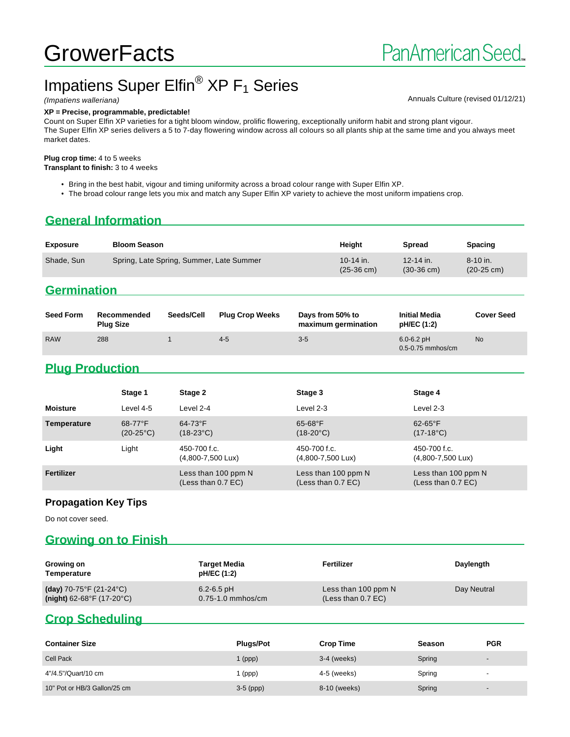# **GrowerFacts**

# Impatiens Super Elfin<sup>®</sup>  $XP F_1$  Series

#### **XP = Precise, programmable, predictable!**

(Impatiens walleriana) and the state of the state of the state of the state of the Shankov Annuals Culture (revised 01/12/21)

Count on Super Elfin XP varieties for a tight bloom window, prolific flowering, exceptionally uniform habit and strong plant vigour. The Super Elfin XP series delivers a 5 to 7-day flowering window across all colours so all plants ship at the same time and you always meet market dates.

#### **Plug crop time:** 4 to 5 weeks

**Transplant to finish:** 3 to 4 weeks

- Bring in the best habit, vigour and timing uniformity across a broad colour range with Super Elfin XP.
- The broad colour range lets you mix and match any Super Elfin XP variety to achieve the most uniform impatiens crop.

#### **General Information**

| <b>Exposure</b> | <b>Bloom Season</b>                      | Height                            | <b>Spread</b>                     | <b>Spacing</b>                     |
|-----------------|------------------------------------------|-----------------------------------|-----------------------------------|------------------------------------|
| Shade, Sun      | Spring, Late Spring, Summer, Late Summer | 10-14 in.<br>$(25-36 \text{ cm})$ | 12-14 in.<br>$(30-36 \text{ cm})$ | $8-10$ in.<br>$(20-25 \text{ cm})$ |

## **Germination**

| <b>Seed Form</b> | Recommended<br>Plug Size | Seeds/Cell | <b>Plug Crop Weeks</b> | Days from 50% to<br>maximum germination | <b>Initial Media</b><br>pH/EC (1:2)     | <b>Cover Seed</b> |
|------------------|--------------------------|------------|------------------------|-----------------------------------------|-----------------------------------------|-------------------|
| <b>RAW</b>       | 288                      |            | $4 - 5$                | $3-5$                                   | $6.0 - 6.2$ pH<br>$0.5 - 0.75$ mmhos/cm | <b>No</b>         |

### **Plug Production**

|                 | Stage 1                          | Stage 2                                       | Stage 3                                     | Stage 4                                       |
|-----------------|----------------------------------|-----------------------------------------------|---------------------------------------------|-----------------------------------------------|
| <b>Moisture</b> | Level 4-5                        | Level 2-4                                     | Level 2-3                                   | Level 2-3                                     |
| Temperature     | $68-77$ °F<br>$(20-25^{\circ}C)$ | $64-73$ °F<br>$(18-23^{\circ}C)$              | $65 - 68$ °F<br>$(18-20^{\circ}C)$          | $62-65$ °F<br>$(17-18^{\circ}C)$              |
| Light           | Light                            | 450-700 f.c.<br>$(4,800 - 7,500 \text{ Lux})$ | 450-700 f.c.<br>(4,800-7,500 Lux)           | 450-700 f.c.<br>$(4,800 - 7,500 \text{ L}ux)$ |
| Fertilizer      |                                  | Less than 100 ppm N<br>(Less than 0.7 EC)     | Less than 100 ppm N<br>(Less than $0.7$ EC) | Less than 100 ppm N<br>(Less than 0.7 EC)     |

#### **Propagation Key Tips**

Do not cover seed.

#### **Growing on to Finish**

| Growing on<br>Temperature   | Target Media<br>pH/EC (1:2) | Fertilizer           | Daylength   |
|-----------------------------|-----------------------------|----------------------|-------------|
| (day) 70-75°F (21-24°C)     | $6.2 - 6.5$ pH              | Less than 100 ppm N  | Day Neutral |
| $(night)$ 62-68°F (17-20°C) | $0.75 - 1.0$ mmhos/cm       | (Less than $0.7$ EC) |             |

#### **Crop Scheduling**

| <b>Container Size</b>        | <b>Plugs/Pot</b> | <b>Crop Time</b> | Season | <b>PGR</b>               |
|------------------------------|------------------|------------------|--------|--------------------------|
| <b>Cell Pack</b>             | l (ppp)          | $3-4$ (weeks)    | Spring | $\overline{\phantom{a}}$ |
| 4"/4.5"/Quart/10 cm          | (ppp)            | 4-5 (weeks)      | Spring | $\overline{\phantom{a}}$ |
| 10" Pot or HB/3 Gallon/25 cm | $3-5$ (ppp)      | 8-10 (weeks)     | Spring | $\overline{\phantom{a}}$ |